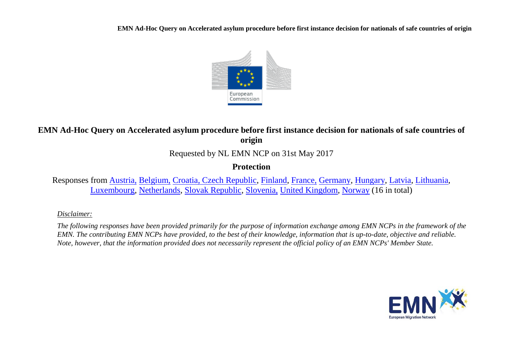**EMN Ad-Hoc Query on Accelerated asylum procedure before first instance decision for nationals of safe countries of origin**



# **EMN Ad-Hoc Query on Accelerated asylum procedure before first instance decision for nationals of safe countries of origin**

Requested by NL EMN NCP on 31st May 2017

## **Protection**

Responses from [Austria,](#page-1-0) [Belgium,](#page-2-0) [Croatia, Czech Republic,](#page-3-0) [Finland,](#page-4-0) [France,](#page-5-0) [Germany,](#page-6-0) [Hungary,](#page-7-0) [Latvia,](#page-7-1) [Lithuania,](#page-9-0) [Luxembourg,](#page-10-0) [Netherlands,](#page-11-0) [Slovak Republic,](#page-11-1) [Slovenia,](#page-12-0) [United Kingdom,](#page-12-1) [Norway](#page-13-0) (16 in total)

### *Disclaimer:*

*The following responses have been provided primarily for the purpose of information exchange among EMN NCPs in the framework of the EMN. The contributing EMN NCPs have provided, to the best of their knowledge, information that is up-to-date, objective and reliable. Note, however, that the information provided does not necessarily represent the official policy of an EMN NCPs' Member State.*

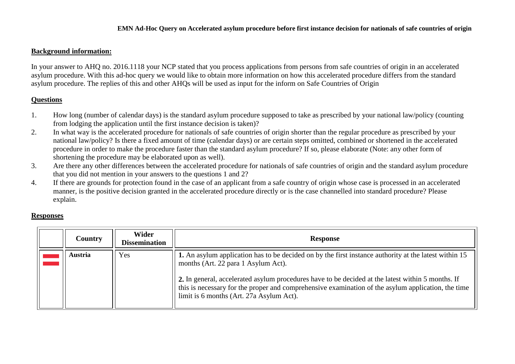#### **EMN Ad-Hoc Query on Accelerated asylum procedure before first instance decision for nationals of safe countries of origin**

#### **Background information:**

In your answer to AHQ no. 2016.1118 your NCP stated that you process applications from persons from safe countries of origin in an accelerated asylum procedure. With this ad-hoc query we would like to obtain more information on how this accelerated procedure differs from the standard asylum procedure. The replies of this and other AHQs will be used as input for the inform on Safe Countries of Origin

### **Questions**

- 1. How long (number of calendar days) is the standard asylum procedure supposed to take as prescribed by your national law/policy (counting from lodging the application until the first instance decision is taken)?
- 2. In what way is the accelerated procedure for nationals of safe countries of origin shorter than the regular procedure as prescribed by your national law/policy? Is there a fixed amount of time (calendar days) or are certain steps omitted, combined or shortened in the accelerated procedure in order to make the procedure faster than the standard asylum procedure? If so, please elaborate (Note: any other form of shortening the procedure may be elaborated upon as well).
- 3. Are there any other differences between the accelerated procedure for nationals of safe countries of origin and the standard asylum procedure that you did not mention in your answers to the questions 1 and 2?
- 4. If there are grounds for protection found in the case of an applicant from a safe country of origin whose case is processed in an accelerated manner, is the positive decision granted in the accelerated procedure directly or is the case channelled into standard procedure? Please explain.

#### **Responses**

<span id="page-1-0"></span>

| <b>Country</b> | <b>Wider</b><br><b>Dissemination</b> | <b>Response</b>                                                                                                                                                                                                                                                                                                                                                                                     |
|----------------|--------------------------------------|-----------------------------------------------------------------------------------------------------------------------------------------------------------------------------------------------------------------------------------------------------------------------------------------------------------------------------------------------------------------------------------------------------|
| <b>Austria</b> | Yes                                  | 1. An asylum application has to be decided on by the first instance authority at the latest within 15<br>months (Art. 22 para 1 Asylum Act).<br>2. In general, accelerated asylum procedures have to be decided at the latest within 5 months. If<br>this is necessary for the proper and comprehensive examination of the asylum application, the time<br>limit is 6 months (Art. 27a Asylum Act). |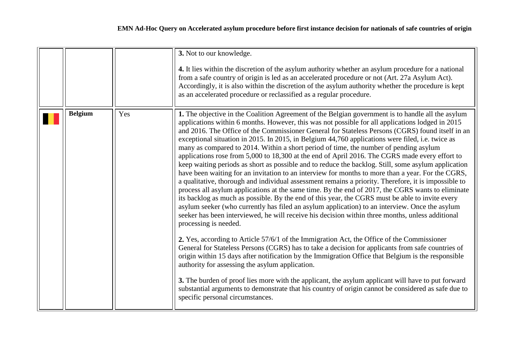<span id="page-2-0"></span>

|                |     | 3. Not to our knowledge.<br>4. It lies within the discretion of the asylum authority whether an asylum procedure for a national<br>from a safe country of origin is led as an accelerated procedure or not (Art. 27a Asylum Act).<br>Accordingly, it is also within the discretion of the asylum authority whether the procedure is kept<br>as an accelerated procedure or reclassified as a regular procedure.                                                                                                                                                                                                                                                                                                                                                                                                                                                                                                                                                                                                                                                                                                                                                                                                                                                                                                                                                                                                                                                                                                                                                                                                                                                                                                                                                                                                                                                                                                                                                                  |
|----------------|-----|----------------------------------------------------------------------------------------------------------------------------------------------------------------------------------------------------------------------------------------------------------------------------------------------------------------------------------------------------------------------------------------------------------------------------------------------------------------------------------------------------------------------------------------------------------------------------------------------------------------------------------------------------------------------------------------------------------------------------------------------------------------------------------------------------------------------------------------------------------------------------------------------------------------------------------------------------------------------------------------------------------------------------------------------------------------------------------------------------------------------------------------------------------------------------------------------------------------------------------------------------------------------------------------------------------------------------------------------------------------------------------------------------------------------------------------------------------------------------------------------------------------------------------------------------------------------------------------------------------------------------------------------------------------------------------------------------------------------------------------------------------------------------------------------------------------------------------------------------------------------------------------------------------------------------------------------------------------------------------|
| <b>Belgium</b> | Yes | 1. The objective in the Coalition Agreement of the Belgian government is to handle all the asylum<br>applications within 6 months. However, this was not possible for all applications lodged in 2015<br>and 2016. The Office of the Commissioner General for Stateless Persons (CGRS) found itself in an<br>exceptional situation in 2015. In 2015, in Belgium 44,760 applications were filed, i.e. twice as<br>many as compared to 2014. Within a short period of time, the number of pending asylum<br>applications rose from 5,000 to 18,300 at the end of April 2016. The CGRS made every effort to<br>keep waiting periods as short as possible and to reduce the backlog. Still, some asylum application<br>have been waiting for an invitation to an interview for months to more than a year. For the CGRS,<br>a qualitative, thorough and individual assessment remains a priority. Therefore, it is impossible to<br>process all asylum applications at the same time. By the end of 2017, the CGRS wants to eliminate<br>its backlog as much as possible. By the end of this year, the CGRS must be able to invite every<br>asylum seeker (who currently has filed an asylum application) to an interview. Once the asylum<br>seeker has been interviewed, he will receive his decision within three months, unless additional<br>processing is needed.<br>2. Yes, according to Article 57/6/1 of the Immigration Act, the Office of the Commissioner<br>General for Stateless Persons (CGRS) has to take a decision for applicants from safe countries of<br>origin within 15 days after notification by the Immigration Office that Belgium is the responsible<br>authority for assessing the asylum application.<br>3. The burden of proof lies more with the applicant, the asylum applicant will have to put forward<br>substantial arguments to demonstrate that his country of origin cannot be considered as safe due to<br>specific personal circumstances. |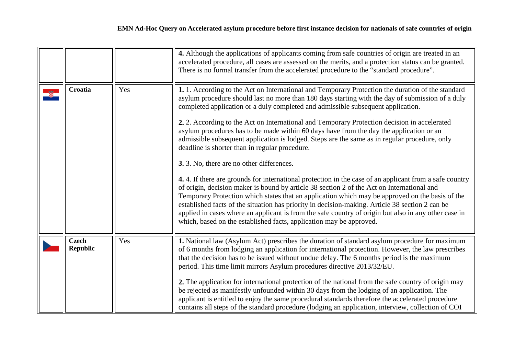<span id="page-3-0"></span>

|                                 |     | 4. Although the applications of applicants coming from safe countries of origin are treated in an<br>accelerated procedure, all cases are assessed on the merits, and a protection status can be granted.<br>There is no formal transfer from the accelerated procedure to the "standard procedure".                                                                                                                                                                                                                                                                                                                                                                                                                                                                                                                                                                                                                                                                                                                                                                                                                                                                                                                                                                              |
|---------------------------------|-----|-----------------------------------------------------------------------------------------------------------------------------------------------------------------------------------------------------------------------------------------------------------------------------------------------------------------------------------------------------------------------------------------------------------------------------------------------------------------------------------------------------------------------------------------------------------------------------------------------------------------------------------------------------------------------------------------------------------------------------------------------------------------------------------------------------------------------------------------------------------------------------------------------------------------------------------------------------------------------------------------------------------------------------------------------------------------------------------------------------------------------------------------------------------------------------------------------------------------------------------------------------------------------------------|
| Croatia                         | Yes | 1. 1. According to the Act on International and Temporary Protection the duration of the standard<br>asylum procedure should last no more than 180 days starting with the day of submission of a duly<br>completed application or a duly completed and admissible subsequent application.<br>2. 2. According to the Act on International and Temporary Protection decision in accelerated<br>asylum procedures has to be made within 60 days have from the day the application or an<br>admissible subsequent application is lodged. Steps are the same as in regular procedure, only<br>deadline is shorter than in regular procedure.<br>3. 3. No, there are no other differences.<br>4.4. If there are grounds for international protection in the case of an applicant from a safe country<br>of origin, decision maker is bound by article 38 section 2 of the Act on International and<br>Temporary Protection which states that an application which may be approved on the basis of the<br>established facts of the situation has priority in decision-making. Article 38 section 2 can be<br>applied in cases where an applicant is from the safe country of origin but also in any other case in<br>which, based on the established facts, application may be approved. |
| <b>Czech</b><br><b>Republic</b> | Yes | 1. National law (Asylum Act) prescribes the duration of standard asylum procedure for maximum<br>of 6 months from lodging an application for international protection. However, the law prescribes<br>that the decision has to be issued without undue delay. The 6 months period is the maximum<br>period. This time limit mirrors Asylum procedures directive 2013/32/EU.<br>2. The application for international protection of the national from the safe country of origin may<br>be rejected as manifestly unfounded within 30 days from the lodging of an application. The<br>applicant is entitled to enjoy the same procedural standards therefore the accelerated procedure<br>contains all steps of the standard procedure (lodging an application, interview, collection of COI                                                                                                                                                                                                                                                                                                                                                                                                                                                                                        |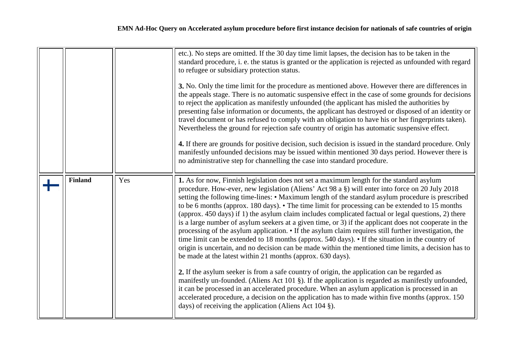<span id="page-4-0"></span>

|                |     | etc.). No steps are omitted. If the 30 day time limit lapses, the decision has to be taken in the<br>standard procedure, i. e. the status is granted or the application is rejected as unfounded with regard<br>to refugee or subsidiary protection status.<br>3. No. Only the time limit for the procedure as mentioned above. However there are differences in<br>the appeals stage. There is no automatic suspensive effect in the case of some grounds for decisions<br>to reject the application as manifestly unfounded (the applicant has misled the authorities by<br>presenting false information or documents, the applicant has destroyed or disposed of an identity or<br>travel document or has refused to comply with an obligation to have his or her fingerprints taken).<br>Nevertheless the ground for rejection safe country of origin has automatic suspensive effect.<br>4. If there are grounds for positive decision, such decision is issued in the standard procedure. Only<br>manifestly unfounded decisions may be issued within mentioned 30 days period. However there is<br>no administrative step for channelling the case into standard procedure.                                                                                                                                                                                                                                                                                            |
|----------------|-----|-------------------------------------------------------------------------------------------------------------------------------------------------------------------------------------------------------------------------------------------------------------------------------------------------------------------------------------------------------------------------------------------------------------------------------------------------------------------------------------------------------------------------------------------------------------------------------------------------------------------------------------------------------------------------------------------------------------------------------------------------------------------------------------------------------------------------------------------------------------------------------------------------------------------------------------------------------------------------------------------------------------------------------------------------------------------------------------------------------------------------------------------------------------------------------------------------------------------------------------------------------------------------------------------------------------------------------------------------------------------------------------------------------------------------------------------------------------------------------|
| <b>Finland</b> | Yes | 1. As for now, Finnish legislation does not set a maximum length for the standard asylum<br>procedure. How-ever, new legislation (Aliens' Act 98 a §) will enter into force on 20 July 2018<br>setting the following time-lines: • Maximum length of the standard asylum procedure is prescribed<br>to be 6 months (approx. 180 days). • The time limit for processing can be extended to 15 months<br>(approx. 450 days) if 1) the asylum claim includes complicated factual or legal questions, 2) there<br>is a large number of asylum seekers at a given time, or 3) if the applicant does not cooperate in the<br>processing of the asylum application. • If the asylum claim requires still further investigation, the<br>time limit can be extended to 18 months (approx. 540 days). • If the situation in the country of<br>origin is uncertain, and no decision can be made within the mentioned time limits, a decision has to<br>be made at the latest within 21 months (approx. 630 days).<br>2. If the asylum seeker is from a safe country of origin, the application can be regarded as<br>manifestly un-founded. (Aliens Act 101 §). If the application is regarded as manifestly unfounded,<br>it can be processed in an accelerated procedure. When an asylum application is processed in an<br>accelerated procedure, a decision on the application has to made within five months (approx. 150)<br>days) of receiving the application (Aliens Act 104 §). |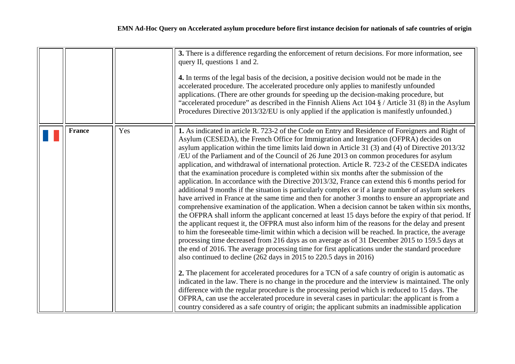<span id="page-5-0"></span>

|               |     | 3. There is a difference regarding the enforcement of return decisions. For more information, see<br>query II, questions 1 and 2.<br>4. In terms of the legal basis of the decision, a positive decision would not be made in the<br>accelerated procedure. The accelerated procedure only applies to manifestly unfounded<br>applications. (There are other grounds for speeding up the decision-making procedure, but<br>"accelerated procedure" as described in the Finnish Aliens Act 104 § / Article 31 (8) in the Asylum<br>Procedures Directive 2013/32/EU is only applied if the application is manifestly unfounded.)                                                                                                                                                                                                                                                                                                                                                                                                                                                                                                                                                                                                                                                                                                                                                                                                                                                                                                                                                                                                                                                                                                                                                                                                                                                                                                                                                                                                                                                                                                                                           |
|---------------|-----|--------------------------------------------------------------------------------------------------------------------------------------------------------------------------------------------------------------------------------------------------------------------------------------------------------------------------------------------------------------------------------------------------------------------------------------------------------------------------------------------------------------------------------------------------------------------------------------------------------------------------------------------------------------------------------------------------------------------------------------------------------------------------------------------------------------------------------------------------------------------------------------------------------------------------------------------------------------------------------------------------------------------------------------------------------------------------------------------------------------------------------------------------------------------------------------------------------------------------------------------------------------------------------------------------------------------------------------------------------------------------------------------------------------------------------------------------------------------------------------------------------------------------------------------------------------------------------------------------------------------------------------------------------------------------------------------------------------------------------------------------------------------------------------------------------------------------------------------------------------------------------------------------------------------------------------------------------------------------------------------------------------------------------------------------------------------------------------------------------------------------------------------------------------------------|
| <b>France</b> | Yes | 1. As indicated in article R. 723-2 of the Code on Entry and Residence of Foreigners and Right of<br>Asylum (CESEDA), the French Office for Immigration and Integration (OFPRA) decides on<br>asylum application within the time limits laid down in Article 31 (3) and (4) of Directive 2013/32<br>/EU of the Parliament and of the Council of 26 June 2013 on common procedures for asylum<br>application, and withdrawal of international protection. Article R. 723-2 of the CESEDA indicates<br>that the examination procedure is completed within six months after the submission of the<br>application. In accordance with the Directive 2013/32, France can extend this 6 months period for<br>additional 9 months if the situation is particularly complex or if a large number of asylum seekers<br>have arrived in France at the same time and then for another 3 months to ensure an appropriate and<br>comprehensive examination of the application. When a decision cannot be taken within six months,<br>the OFPRA shall inform the applicant concerned at least 15 days before the expiry of that period. If<br>the applicant request it, the OFPRA must also inform him of the reasons for the delay and present<br>to him the foreseeable time-limit within which a decision will be reached. In practice, the average<br>processing time decreased from 216 days as on average as of 31 December 2015 to 159.5 days at<br>the end of 2016. The average processing time for first applications under the standard procedure<br>also continued to decline $(262 \text{ days in } 2015 \text{ to } 220.5 \text{ days in } 2016)$<br>2. The placement for accelerated procedures for a TCN of a safe country of origin is automatic as<br>indicated in the law. There is no change in the procedure and the interview is maintained. The only<br>difference with the regular procedure is the processing period which is reduced to 15 days. The<br>OFPRA, can use the accelerated procedure in several cases in particular: the applicant is from a<br>country considered as a safe country of origin; the applicant submits an inadmissible application |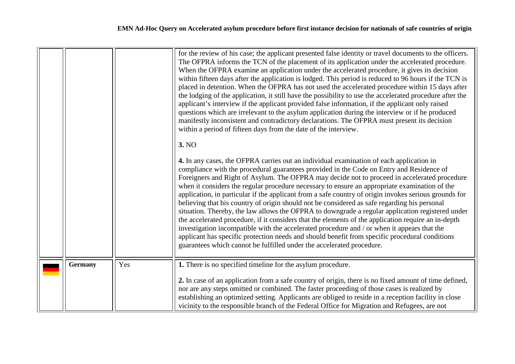<span id="page-6-0"></span>

|         |     | for the review of his case; the applicant presented false identity or travel documents to the officers.<br>The OFPRA informs the TCN of the placement of its application under the accelerated procedure.<br>When the OFPRA examine an application under the accelerated procedure, it gives its decision<br>within fifteen days after the application is lodged. This period is reduced to 96 hours if the TCN is<br>placed in detention. When the OFPRA has not used the accelerated procedure within 15 days after<br>the lodging of the application, it still have the possibility to use the accelerated procedure after the<br>applicant's interview if the applicant provided false information, if the applicant only raised<br>questions which are irrelevant to the asylum application during the interview or if he produced<br>manifestly inconsistent and contradictory declarations. The OFPRA must present its decision<br>within a period of fifteen days from the date of the interview.<br>3. NO<br>4. In any cases, the OFPRA carries out an individual examination of each application in<br>compliance with the procedural guarantees provided in the Code on Entry and Residence of<br>Foreigners and Right of Asylum. The OFPRA may decide not to proceed in accelerated procedure<br>when it considers the regular procedure necessary to ensure an appropriate examination of the<br>application, in particular if the applicant from a safe country of origin invokes serious grounds for<br>believing that his country of origin should not be considered as safe regarding his personal<br>situation. Thereby, the law allows the OFPRA to downgrade a regular application registered under<br>the accelerated procedure, if it considers that the elements of the application require an in-depth<br>investigation incompatible with the accelerated procedure and / or when it appears that the<br>applicant has specific protection needs and should benefit from specific procedural conditions<br>guarantees which cannot be fulfilled under the accelerated procedure. |
|---------|-----|----------------------------------------------------------------------------------------------------------------------------------------------------------------------------------------------------------------------------------------------------------------------------------------------------------------------------------------------------------------------------------------------------------------------------------------------------------------------------------------------------------------------------------------------------------------------------------------------------------------------------------------------------------------------------------------------------------------------------------------------------------------------------------------------------------------------------------------------------------------------------------------------------------------------------------------------------------------------------------------------------------------------------------------------------------------------------------------------------------------------------------------------------------------------------------------------------------------------------------------------------------------------------------------------------------------------------------------------------------------------------------------------------------------------------------------------------------------------------------------------------------------------------------------------------------------------------------------------------------------------------------------------------------------------------------------------------------------------------------------------------------------------------------------------------------------------------------------------------------------------------------------------------------------------------------------------------------------------------------------------------------------------------------------------------------------------------------------------------------|
| Germany | Yes | 1. There is no specified timeline for the asylum procedure.<br>2. In case of an application from a safe country of origin, there is no fixed amount of time defined,<br>nor are any steps omitted or combined. The faster proceeding of those cases is realized by<br>establishing an optimized setting. Applicants are obliged to reside in a reception facility in close<br>vicinity to the responsible branch of the Federal Office for Migration and Refugees, are not                                                                                                                                                                                                                                                                                                                                                                                                                                                                                                                                                                                                                                                                                                                                                                                                                                                                                                                                                                                                                                                                                                                                                                                                                                                                                                                                                                                                                                                                                                                                                                                                                               |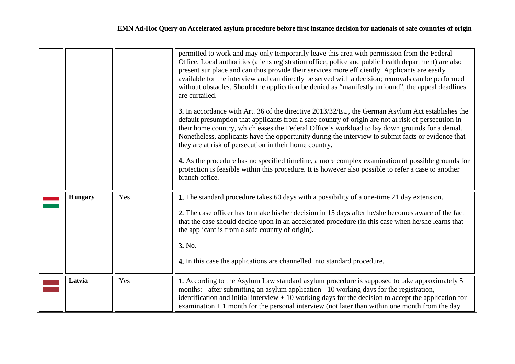<span id="page-7-1"></span><span id="page-7-0"></span>

|                |     | permitted to work and may only temporarily leave this area with permission from the Federal<br>Office. Local authorities (aliens registration office, police and public health department) are also<br>present sur place and can thus provide their services more efficiently. Applicants are easily<br>available for the interview and can directly be served with a decision; removals can be performed<br>without obstacles. Should the application be denied as "manifestly unfound", the appeal deadlines<br>are curtailed.<br>3. In accordance with Art. 36 of the directive 2013/32/EU, the German Asylum Act establishes the<br>default presumption that applicants from a safe country of origin are not at risk of persecution in<br>their home country, which eases the Federal Office's workload to lay down grounds for a denial.<br>Nonetheless, applicants have the opportunity during the interview to submit facts or evidence that<br>they are at risk of persecution in their home country.<br>4. As the procedure has no specified timeline, a more complex examination of possible grounds for<br>protection is feasible within this procedure. It is however also possible to refer a case to another<br>branch office. |
|----------------|-----|-----------------------------------------------------------------------------------------------------------------------------------------------------------------------------------------------------------------------------------------------------------------------------------------------------------------------------------------------------------------------------------------------------------------------------------------------------------------------------------------------------------------------------------------------------------------------------------------------------------------------------------------------------------------------------------------------------------------------------------------------------------------------------------------------------------------------------------------------------------------------------------------------------------------------------------------------------------------------------------------------------------------------------------------------------------------------------------------------------------------------------------------------------------------------------------------------------------------------------------------------|
| <b>Hungary</b> | Yes | 1. The standard procedure takes 60 days with a possibility of a one-time 21 day extension.<br>2. The case officer has to make his/her decision in 15 days after he/she becomes aware of the fact<br>that the case should decide upon in an accelerated procedure (in this case when he/she learns that<br>the applicant is from a safe country of origin).<br>3. No.<br>4. In this case the applications are channelled into standard procedure.                                                                                                                                                                                                                                                                                                                                                                                                                                                                                                                                                                                                                                                                                                                                                                                              |
| Latvia         | Yes | 1. According to the Asylum Law standard asylum procedure is supposed to take approximately 5<br>months: - after submitting an asylum application - 10 working days for the registration,<br>identification and initial interview $+10$ working days for the decision to accept the application for<br>examination $+1$ month for the personal interview (not later than within one month from the day                                                                                                                                                                                                                                                                                                                                                                                                                                                                                                                                                                                                                                                                                                                                                                                                                                         |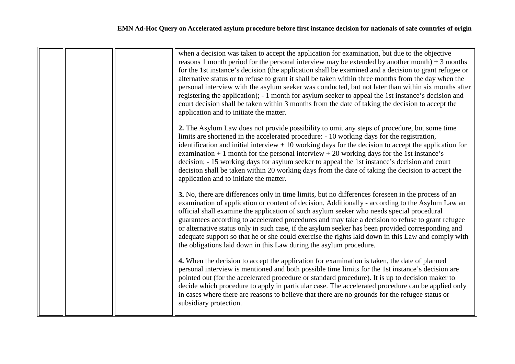|  | when a decision was taken to accept the application for examination, but due to the objective<br>reasons 1 month period for the personal interview may be extended by another month) $+3$ months<br>for the 1st instance's decision (the application shall be examined and a decision to grant refugee or<br>alternative status or to refuse to grant it shall be taken within three months from the day when the<br>personal interview with the asylum seeker was conducted, but not later than within six months after<br>registering the application); - 1 month for asylum seeker to appeal the 1st instance's decision and<br>court decision shall be taken within 3 months from the date of taking the decision to accept the<br>application and to initiate the matter. |
|--|--------------------------------------------------------------------------------------------------------------------------------------------------------------------------------------------------------------------------------------------------------------------------------------------------------------------------------------------------------------------------------------------------------------------------------------------------------------------------------------------------------------------------------------------------------------------------------------------------------------------------------------------------------------------------------------------------------------------------------------------------------------------------------|
|  | 2. The Asylum Law does not provide possibility to omit any steps of procedure, but some time<br>limits are shortened in the accelerated procedure: - 10 working days for the registration,<br>identification and initial interview $+10$ working days for the decision to accept the application for<br>examination $+1$ month for the personal interview $+20$ working days for the 1st instance's<br>decision; - 15 working days for asylum seeker to appeal the 1st instance's decision and court<br>decision shall be taken within 20 working days from the date of taking the decision to accept the<br>application and to initiate the matter.                                                                                                                           |
|  | 3. No, there are differences only in time limits, but no differences foreseen in the process of an<br>examination of application or content of decision. Additionally - according to the Asylum Law an<br>official shall examine the application of such asylum seeker who needs special procedural<br>guarantees according to accelerated procedures and may take a decision to refuse to grant refugee<br>or alternative status only in such case, if the asylum seeker has been provided corresponding and<br>adequate support so that he or she could exercise the rights laid down in this Law and comply with<br>the obligations laid down in this Law during the asylum procedure.                                                                                      |
|  | 4. When the decision to accept the application for examination is taken, the date of planned<br>personal interview is mentioned and both possible time limits for the 1st instance's decision are<br>pointed out (for the accelerated procedure or standard procedure). It is up to decision maker to<br>decide which procedure to apply in particular case. The accelerated procedure can be applied only<br>in cases where there are reasons to believe that there are no grounds for the refugee status or<br>subsidiary protection.                                                                                                                                                                                                                                        |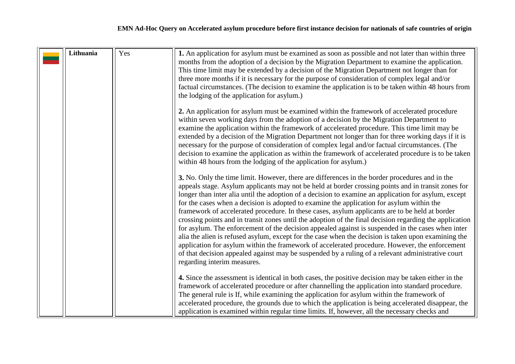<span id="page-9-0"></span>

| Lithuania | Yes | 1. An application for asylum must be examined as soon as possible and not later than within three<br>months from the adoption of a decision by the Migration Department to examine the application.<br>This time limit may be extended by a decision of the Migration Department not longer than for<br>three more months if it is necessary for the purpose of consideration of complex legal and/or<br>factual circumstances. (The decision to examine the application is to be taken within 48 hours from<br>the lodging of the application for asylum.)                                                                                                                                                                                                                                                                                                                                                                                                                                                                                                               |
|-----------|-----|---------------------------------------------------------------------------------------------------------------------------------------------------------------------------------------------------------------------------------------------------------------------------------------------------------------------------------------------------------------------------------------------------------------------------------------------------------------------------------------------------------------------------------------------------------------------------------------------------------------------------------------------------------------------------------------------------------------------------------------------------------------------------------------------------------------------------------------------------------------------------------------------------------------------------------------------------------------------------------------------------------------------------------------------------------------------------|
|           |     | 2. An application for asylum must be examined within the framework of accelerated procedure<br>within seven working days from the adoption of a decision by the Migration Department to<br>examine the application within the framework of accelerated procedure. This time limit may be<br>extended by a decision of the Migration Department not longer than for three working days if it is<br>necessary for the purpose of consideration of complex legal and/or factual circumstances. (The<br>decision to examine the application as within the framework of accelerated procedure is to be taken<br>within 48 hours from the lodging of the application for asylum.)                                                                                                                                                                                                                                                                                                                                                                                               |
|           |     | 3. No. Only the time limit. However, there are differences in the border procedures and in the<br>appeals stage. Asylum applicants may not be held at border crossing points and in transit zones for<br>longer than inter alia until the adoption of a decision to examine an application for asylum, except<br>for the cases when a decision is adopted to examine the application for asylum within the<br>framework of accelerated procedure. In these cases, asylum applicants are to be held at border<br>crossing points and in transit zones until the adoption of the final decision regarding the application<br>for asylum. The enforcement of the decision appealed against is suspended in the cases when inter<br>alia the alien is refused asylum, except for the case when the decision is taken upon examining the<br>application for asylum within the framework of accelerated procedure. However, the enforcement<br>of that decision appealed against may be suspended by a ruling of a relevant administrative court<br>regarding interim measures. |
|           |     | 4. Since the assessment is identical in both cases, the positive decision may be taken either in the<br>framework of accelerated procedure or after channelling the application into standard procedure.<br>The general rule is If, while examining the application for asylum within the framework of<br>accelerated procedure, the grounds due to which the application is being accelerated disappear, the<br>application is examined within regular time limits. If, however, all the necessary checks and                                                                                                                                                                                                                                                                                                                                                                                                                                                                                                                                                            |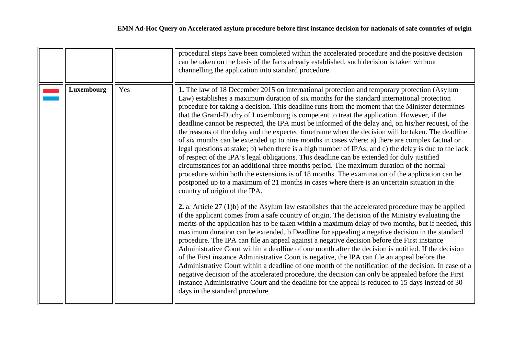<span id="page-10-0"></span>

|            |     | procedural steps have been completed within the accelerated procedure and the positive decision<br>can be taken on the basis of the facts already established, such decision is taken without<br>channelling the application into standard procedure.                                                                                                                                                                                                                                                                                                                                                                                                                                                                                                                                                                                                                                                                                                                                                                                                                                                                                                                                                                                                                                                                                                                                                                                                                                                                                                                                                                                                                                                                                                                                                                                                                                                                                                                                                                                                                                                                                                                                                                                                                                                                               |
|------------|-----|-------------------------------------------------------------------------------------------------------------------------------------------------------------------------------------------------------------------------------------------------------------------------------------------------------------------------------------------------------------------------------------------------------------------------------------------------------------------------------------------------------------------------------------------------------------------------------------------------------------------------------------------------------------------------------------------------------------------------------------------------------------------------------------------------------------------------------------------------------------------------------------------------------------------------------------------------------------------------------------------------------------------------------------------------------------------------------------------------------------------------------------------------------------------------------------------------------------------------------------------------------------------------------------------------------------------------------------------------------------------------------------------------------------------------------------------------------------------------------------------------------------------------------------------------------------------------------------------------------------------------------------------------------------------------------------------------------------------------------------------------------------------------------------------------------------------------------------------------------------------------------------------------------------------------------------------------------------------------------------------------------------------------------------------------------------------------------------------------------------------------------------------------------------------------------------------------------------------------------------------------------------------------------------------------------------------------------------|
| Luxembourg | Yes | 1. The law of 18 December 2015 on international protection and temporary protection (Asylum<br>Law) establishes a maximum duration of six months for the standard international protection<br>procedure for taking a decision. This deadline runs from the moment that the Minister determines<br>that the Grand-Duchy of Luxembourg is competent to treat the application. However, if the<br>deadline cannot be respected, the IPA must be informed of the delay and, on his/her request, of the<br>the reasons of the delay and the expected timeframe when the decision will be taken. The deadline<br>of six months can be extended up to nine months in cases where: a) there are complex factual or<br>legal questions at stake; b) when there is a high number of IPAs; and c) the delay is due to the lack<br>of respect of the IPA's legal obligations. This deadline can be extended for duly justified<br>circumstances for an additional three months period. The maximum duration of the normal<br>procedure within both the extensions is of 18 months. The examination of the application can be<br>postponed up to a maximum of 21 months in cases where there is an uncertain situation in the<br>country of origin of the IPA.<br>2. a. Article 27 (1)b) of the Asylum law establishes that the accelerated procedure may be applied<br>if the applicant comes from a safe country of origin. The decision of the Ministry evaluating the<br>merits of the application has to be taken within a maximum delay of two months, but if needed, this<br>maximum duration can be extended. b.Deadline for appealing a negative decision in the standard<br>procedure. The IPA can file an appeal against a negative decision before the First instance<br>Administrative Court within a deadline of one month after the decision is notified. If the decision<br>of the First instance Administrative Court is negative, the IPA can file an appeal before the<br>Administrative Court within a deadline of one month of the notification of the decision. In case of a<br>negative decision of the accelerated procedure, the decision can only be appealed before the First<br>instance Administrative Court and the deadline for the appeal is reduced to 15 days instead of 30<br>days in the standard procedure. |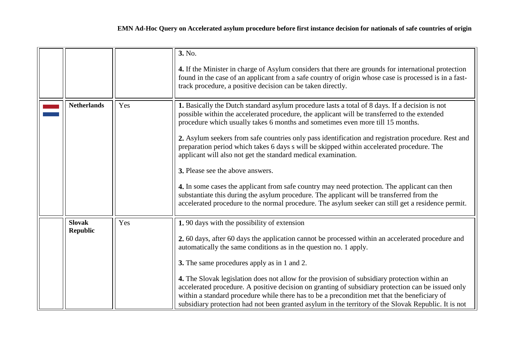<span id="page-11-1"></span><span id="page-11-0"></span>

|                                  |     | 3. No.<br>4. If the Minister in charge of Asylum considers that there are grounds for international protection<br>found in the case of an applicant from a safe country of origin whose case is processed is in a fast-<br>track procedure, a positive decision can be taken directly.                                                                                                                                                                                                                                                                                                                                                                                                                                                                                                                                                                                                       |
|----------------------------------|-----|----------------------------------------------------------------------------------------------------------------------------------------------------------------------------------------------------------------------------------------------------------------------------------------------------------------------------------------------------------------------------------------------------------------------------------------------------------------------------------------------------------------------------------------------------------------------------------------------------------------------------------------------------------------------------------------------------------------------------------------------------------------------------------------------------------------------------------------------------------------------------------------------|
| <b>Netherlands</b>               | Yes | 1. Basically the Dutch standard asylum procedure lasts a total of 8 days. If a decision is not<br>possible within the accelerated procedure, the applicant will be transferred to the extended<br>procedure which usually takes 6 months and sometimes even more till 15 months.<br>2. Asylum seekers from safe countries only pass identification and registration procedure. Rest and<br>preparation period which takes 6 days s will be skipped within accelerated procedure. The<br>applicant will also not get the standard medical examination.<br>3. Please see the above answers.<br>4. In some cases the applicant from safe country may need protection. The applicant can then<br>substantiate this during the asylum procedure. The applicant will be transferred from the<br>accelerated procedure to the normal procedure. The asylum seeker can still get a residence permit. |
| <b>Slovak</b><br><b>Republic</b> | Yes | 1.90 days with the possibility of extension<br>2. 60 days, after 60 days the application cannot be processed within an accelerated procedure and<br>automatically the same conditions as in the question no. 1 apply.<br>3. The same procedures apply as in 1 and 2.<br>4. The Slovak legislation does not allow for the provision of subsidiary protection within an<br>accelerated procedure. A positive decision on granting of subsidiary protection can be issued only<br>within a standard procedure while there has to be a precondition met that the beneficiary of<br>subsidiary protection had not been granted asylum in the territory of the Slovak Republic. It is not                                                                                                                                                                                                          |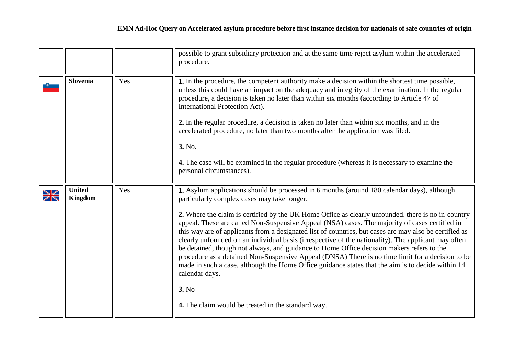<span id="page-12-1"></span><span id="page-12-0"></span>

|                           |                                 |     | possible to grant subsidiary protection and at the same time reject asylum within the accelerated<br>procedure.                                                                                                                                                                                                                                                                                                                                                                                                                                                                                                                                                                                                                                                                                                                                                                                                                                            |
|---------------------------|---------------------------------|-----|------------------------------------------------------------------------------------------------------------------------------------------------------------------------------------------------------------------------------------------------------------------------------------------------------------------------------------------------------------------------------------------------------------------------------------------------------------------------------------------------------------------------------------------------------------------------------------------------------------------------------------------------------------------------------------------------------------------------------------------------------------------------------------------------------------------------------------------------------------------------------------------------------------------------------------------------------------|
|                           | <b>Slovenia</b>                 | Yes | 1. In the procedure, the competent authority make a decision within the shortest time possible,<br>unless this could have an impact on the adequacy and integrity of the examination. In the regular<br>procedure, a decision is taken no later than within six months (according to Article 47 of<br>International Protection Act).<br>2. In the regular procedure, a decision is taken no later than within six months, and in the<br>accelerated procedure, no later than two months after the application was filed.<br>3. No.<br>4. The case will be examined in the regular procedure (whereas it is necessary to examine the<br>personal circumstances).                                                                                                                                                                                                                                                                                            |
| $\frac{\Delta Z}{\Delta}$ | <b>United</b><br><b>Kingdom</b> | Yes | 1. Asylum applications should be processed in 6 months (around 180 calendar days), although<br>particularly complex cases may take longer.<br>2. Where the claim is certified by the UK Home Office as clearly unfounded, there is no in-country<br>appeal. These are called Non-Suspensive Appeal (NSA) cases. The majority of cases certified in<br>this way are of applicants from a designated list of countries, but cases are may also be certified as<br>clearly unfounded on an individual basis (irrespective of the nationality). The applicant may often<br>be detained, though not always, and guidance to Home Office decision makers refers to the<br>procedure as a detained Non-Suspensive Appeal (DNSA) There is no time limit for a decision to be<br>made in such a case, although the Home Office guidance states that the aim is to decide within 14<br>calendar days.<br>3. No<br>4. The claim would be treated in the standard way. |